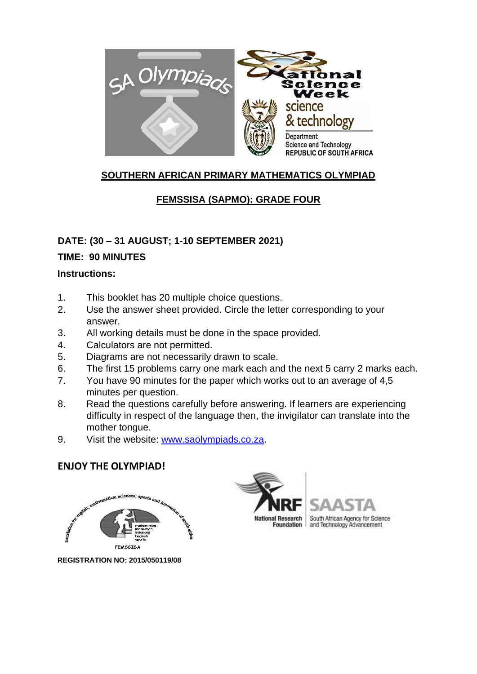

# **SOUTHERN AFRICAN PRIMARY MATHEMATICS OLYMPIAD**

# **FEMSSISA (SAPMO): GRADE FOUR**

# **DATE: (30 – 31 AUGUST; 1-10 SEPTEMBER 2021)**

### **TIME: 90 MINUTES**

### **Instructions:**

- 1. This booklet has 20 multiple choice questions.
- 2. Use the answer sheet provided. Circle the letter corresponding to your answer.
- 3. All working details must be done in the space provided.
- 4. Calculators are not permitted.
- 5. Diagrams are not necessarily drawn to scale.
- 6. The first 15 problems carry one mark each and the next 5 carry 2 marks each.
- 7. You have 90 minutes for the paper which works out to an average of 4,5 minutes per question.
- 8. Read the questions carefully before answering. If learners are experiencing difficulty in respect of the language then, the invigilator can translate into the mother tongue.
- 9. Visit the website: [www.saolympiads.co.za.](http://www.saolympiads.co.za/)

# **ENJOY THE OLYMPIAD!**



**REGISTRATION NO: 2015/050119/08**





South African Agency for Science and Technology Advancement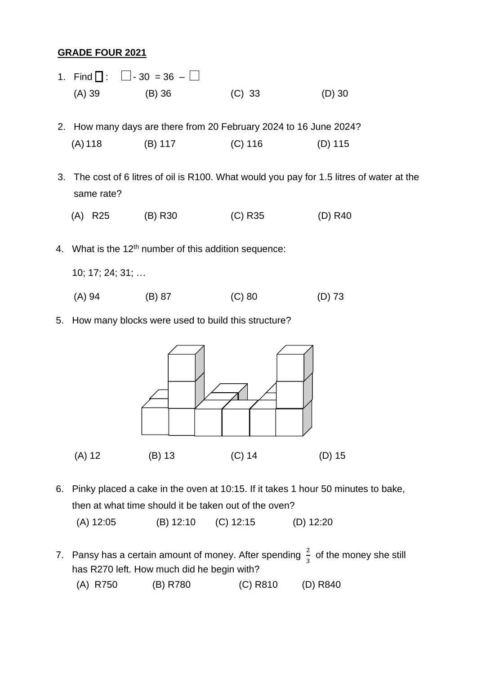### **GRADE FOUR 2021**

- 1. Find  $\Box$  :  $\Box$  30 = 36  $\Box$ (A) 39 (B) 36 (C) 33 (D) 30
- 2. How many days are there from 20 February 2024 to 16 June 2024? (A) 118 (B) 117 (C) 116 (D) 115
- 3. The cost of 6 litres of oil is R100. What would you pay for 1.5 litres of water at the same rate?
	- (A) R25 (B) R30 (C) R35 (D) R40
- 4. What is the 12th number of this addition sequence:
	- 10; 17; 24; 31; …
	- (A) 94 (B) 87 (C) 80 (D) 73
- 5. How many blocks were used to build this structure?



6. Pinky placed a cake in the oven at 10:15. If it takes 1 hour 50 minutes to bake, then at what time should it be taken out of the oven?

(A) 12:05 (B) 12:10 (C) 12:15 (D) 12:20

- 7. Pansy has a certain amount of money. After spending  $\frac{2}{3}$  of the money she still has R270 left. How much did he begin with?
	- (A) R750 (B) R780 (C) R810 (D) R840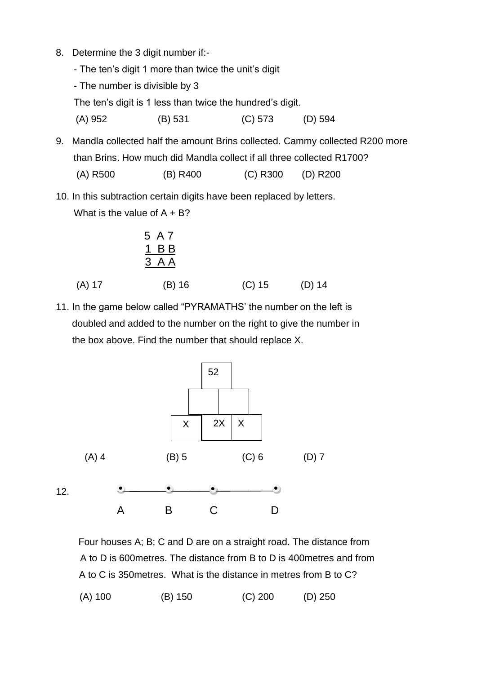- 8. Determine the 3 digit number if:-
	- The ten's digit 1 more than twice the unit's digit
	- The number is divisible by 3

The ten's digit is 1 less than twice the hundred's digit.

(A) 952 (B) 531 (C) 573 (D) 594

- 9. Mandla collected half the amount Brins collected. Cammy collected R200 more than Brins. How much did Mandla collect if all three collected R1700?
	- (A) R500 (B) R400 (C) R300 (D) R200
- 10. In this subtraction certain digits have been replaced by letters. What is the value of  $A + B$ ?

$$
\begin{array}{c}\n 5 \text{ A } 7 \\
\underline{1} \text{ B } \underline{B} \\
\underline{3} \text{ A } \underline{A}\n \end{array}
$$

- (A) 17 (B) 16 (C) 15 (D) 14
- 11. In the game below called "PYRAMATHS' the number on the left is doubled and added to the number on the right to give the number in the box above. Find the number that should replace X.



 Four houses A; B; C and D are on a straight road. The distance from A to D is 600metres. The distance from B to D is 400metres and from A to C is 350metres. What is the distance in metres from B to C? (A) 100 (B) 150 (C) 200 (D) 250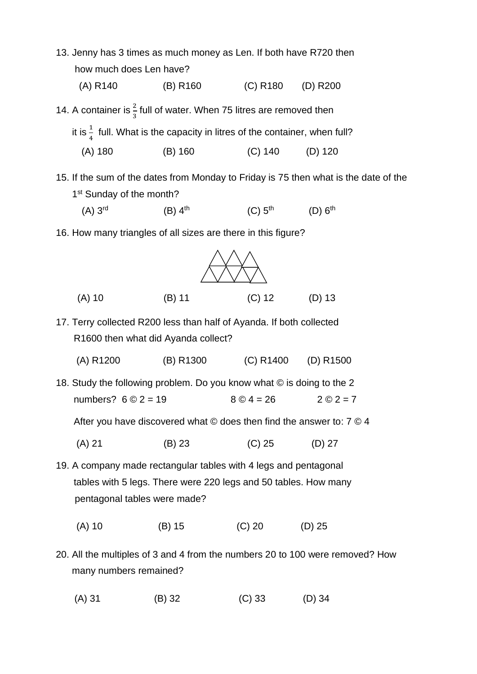

(A) 31 (B) 32 (C) 33 (D) 34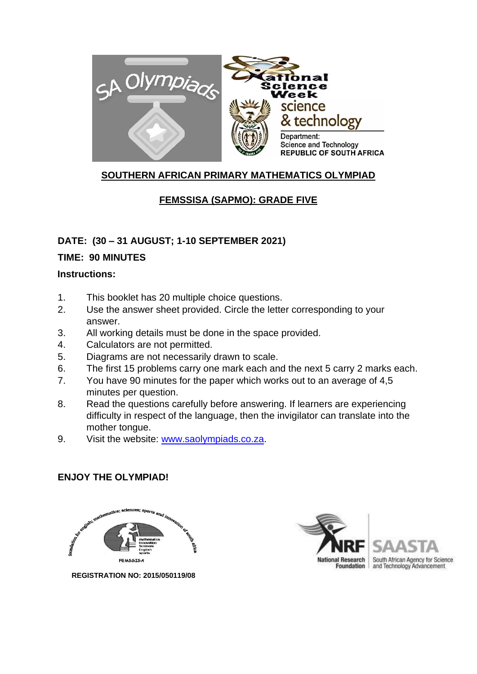

# **SOUTHERN AFRICAN PRIMARY MATHEMATICS OLYMPIAD**

# **FEMSSISA (SAPMO): GRADE FIVE**

### **DATE: (30 – 31 AUGUST; 1-10 SEPTEMBER 2021)**

### **TIME: 90 MINUTES**

### **Instructions:**

- 1. This booklet has 20 multiple choice questions.
- 2. Use the answer sheet provided. Circle the letter corresponding to your answer.
- 3. All working details must be done in the space provided.
- 4. Calculators are not permitted.
- 5. Diagrams are not necessarily drawn to scale.
- 6. The first 15 problems carry one mark each and the next 5 carry 2 marks each.
- 7. You have 90 minutes for the paper which works out to an average of 4,5 minutes per question.
- 8. Read the questions carefully before answering. If learners are experiencing difficulty in respect of the language, then the invigilator can translate into the mother tongue.
- 9. Visit the website: [www.saolympiads.co.za.](http://www.saolympiads.co.za/)

# **ENJOY THE OLYMPIAD!**



 **REGISTRATION NO: 2015/050119/08** 

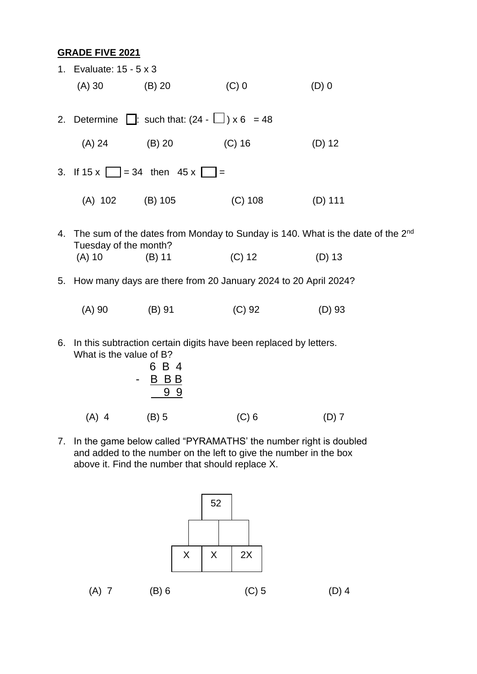#### **GRADE FIVE 2021**

|                                                              | 1. Evaluate: 15 - 5 x 3                                                                      |                                                                                               |           |           |  |  |  |
|--------------------------------------------------------------|----------------------------------------------------------------------------------------------|-----------------------------------------------------------------------------------------------|-----------|-----------|--|--|--|
|                                                              | (A) 30                                                                                       | (B) 20                                                                                        | $(C)$ 0   | $(D)$ 0   |  |  |  |
| 2. Determine $\Box$ : such that: $(24 - \Box) \times 6 = 48$ |                                                                                              |                                                                                               |           |           |  |  |  |
|                                                              | (A) 24                                                                                       | $(B)$ 20                                                                                      | (C) 16    | $(D)$ 12  |  |  |  |
|                                                              | 3. If $15x$ = 34 then $45x$ =                                                                |                                                                                               |           |           |  |  |  |
|                                                              | (A) 102 (B) 105                                                                              |                                                                                               | $(C)$ 108 | $(D)$ 111 |  |  |  |
|                                                              | Tuesday of the month?                                                                        | 4. The sum of the dates from Monday to Sunday is 140. What is the date of the 2 <sup>nd</sup> |           |           |  |  |  |
|                                                              | $(A)$ 10                                                                                     | $(B)$ 11                                                                                      | $(C)$ 12  | $(D)$ 13  |  |  |  |
|                                                              | 5. How many days are there from 20 January 2024 to 20 April 2024?                            |                                                                                               |           |           |  |  |  |
|                                                              | $(A)$ 90                                                                                     | $(B)$ 91                                                                                      | $(C)$ 92  | $(D)$ 93  |  |  |  |
| 6.                                                           | In this subtraction certain digits have been replaced by letters.<br>What is the value of B? |                                                                                               |           |           |  |  |  |

| 6 B 4                   |
|-------------------------|
| B B B<br>$\blacksquare$ |
| 99                      |
|                         |

(A) 4 (B) 5 (C) 6 (D) 7

7. In the game below called "PYRAMATHS' the number right is doubled and added to the number on the left to give the number in the box above it. Find the number that should replace  $X$ .

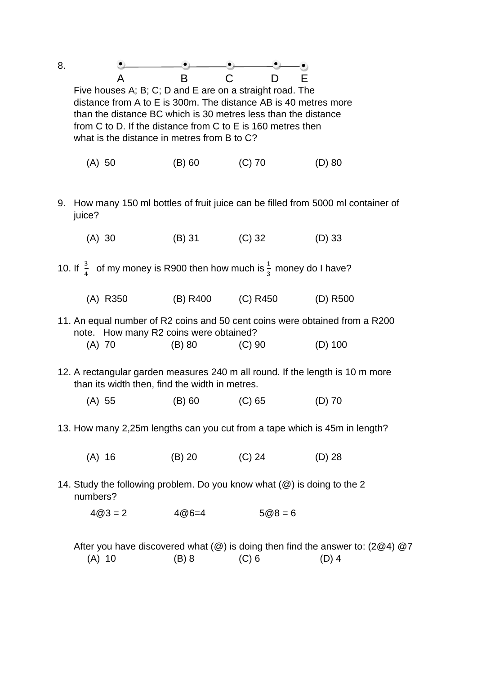| 8.                                                                                  |                                                                                                                                                                                                                                                                                                                                        |                 |                            |           |  |  |  |  |
|-------------------------------------------------------------------------------------|----------------------------------------------------------------------------------------------------------------------------------------------------------------------------------------------------------------------------------------------------------------------------------------------------------------------------------------|-----------------|----------------------------|-----------|--|--|--|--|
|                                                                                     | <b>B</b><br>A<br>Е<br>C<br>Five houses A; B; C; D and E are on a straight road. The<br>distance from A to E is 300m. The distance AB is 40 metres more<br>than the distance BC which is 30 metres less than the distance<br>from C to D. If the distance from C to E is 160 metres then<br>what is the distance in metres from B to C? |                 |                            |           |  |  |  |  |
|                                                                                     | (A) 50                                                                                                                                                                                                                                                                                                                                 | $(B) 60$ (C) 70 |                            | $(D)$ 80  |  |  |  |  |
| 9.                                                                                  | How many 150 ml bottles of fruit juice can be filled from 5000 ml container of<br>juice?                                                                                                                                                                                                                                               |                 |                            |           |  |  |  |  |
|                                                                                     | (A) 30                                                                                                                                                                                                                                                                                                                                 | (B) 31 (C) 32   |                            | $(D)$ 33  |  |  |  |  |
|                                                                                     | 10. If $\frac{3}{4}$ of my money is R900 then how much is $\frac{1}{3}$ money do I have?                                                                                                                                                                                                                                               |                 |                            |           |  |  |  |  |
|                                                                                     | (A) R350                                                                                                                                                                                                                                                                                                                               |                 | (B) R400 (C) R450 (D) R500 |           |  |  |  |  |
|                                                                                     | 11. An equal number of R2 coins and 50 cent coins were obtained from a R200<br>note. How many R2 coins were obtained?<br>$(A)$ 70                                                                                                                                                                                                      | $(B)$ 80        | $(C)$ 90                   | $(D)$ 100 |  |  |  |  |
|                                                                                     | 12. A rectangular garden measures 240 m all round. If the length is 10 m more<br>than its width then, find the width in metres.                                                                                                                                                                                                        |                 |                            |           |  |  |  |  |
|                                                                                     | $(A)$ 55                                                                                                                                                                                                                                                                                                                               | $(B)$ 60        | $(C)$ 65                   | (D) 70    |  |  |  |  |
|                                                                                     | 13. How many 2,25m lengths can you cut from a tape which is 45m in length?                                                                                                                                                                                                                                                             |                 |                            |           |  |  |  |  |
|                                                                                     | $(A)$ 16                                                                                                                                                                                                                                                                                                                               | $(B)$ 20        | $(C)$ 24                   | $(D)$ 28  |  |  |  |  |
| 14. Study the following problem. Do you know what (@) is doing to the 2<br>numbers? |                                                                                                                                                                                                                                                                                                                                        |                 |                            |           |  |  |  |  |
|                                                                                     | $4@3=2$                                                                                                                                                                                                                                                                                                                                | $4@6=4$         | $5@8=6$                    |           |  |  |  |  |
|                                                                                     | After you have discovered what $(\circled{a})$ is doing then find the answer to: (2 $\circled{a}$ 4) $\circled{a}$ 7<br>$(B)$ 8<br>$(C)$ 6<br>$(D)$ 4<br>$(A)$ 10                                                                                                                                                                      |                 |                            |           |  |  |  |  |